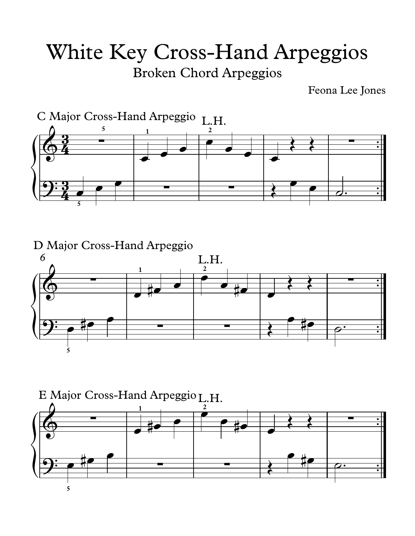## White Key Cross-Hand Arpeggios

Broken Chord Arpeggios

Feona Lee Jones



D Major Cross-Hand Arpeggio